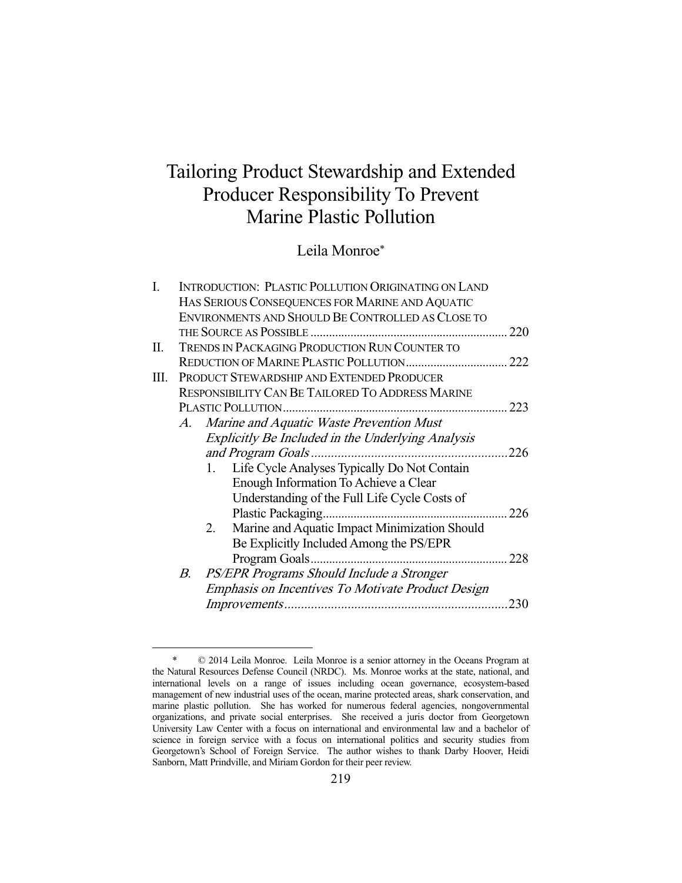# Tailoring Product Stewardship and Extended Producer Responsibility To Prevent Marine Plastic Pollution

Leila Monroe\*

| I. |    |    | INTRODUCTION: PLASTIC POLLUTION ORIGINATING ON LAND      |      |
|----|----|----|----------------------------------------------------------|------|
|    |    |    | HAS SERIOUS CONSEQUENCES FOR MARINE AND AQUATIC          |      |
|    |    |    | ENVIRONMENTS AND SHOULD BE CONTROLLED AS CLOSE TO        |      |
|    |    |    |                                                          | 220  |
| П. |    |    | TRENDS IN PACKAGING PRODUCTION RUN COUNTER TO            |      |
|    |    |    |                                                          |      |
| Ш. |    |    | PRODUCT STEWARDSHIP AND EXTENDED PRODUCER                |      |
|    |    |    | <b>RESPONSIBILITY CAN BE TAILORED TO ADDRESS MARINE</b>  |      |
|    |    |    | PLASTIC POLLUTION.                                       | 223  |
|    | A. |    | Marine and Aquatic Waste Prevention Must                 |      |
|    |    |    | <b>Explicitly Be Included in the Underlying Analysis</b> |      |
|    |    |    |                                                          | 226  |
|    |    | 1. | Life Cycle Analyses Typically Do Not Contain             |      |
|    |    |    | Enough Information To Achieve a Clear                    |      |
|    |    |    | Understanding of the Full Life Cycle Costs of            |      |
|    |    |    |                                                          | .226 |
|    |    | 2. | Marine and Aquatic Impact Minimization Should            |      |
|    |    |    | Be Explicitly Included Among the PS/EPR                  |      |
|    |    |    | Program Goals.                                           | 228  |
|    | В. |    | PS/EPR Programs Should Include a Stronger                |      |
|    |    |    | Emphasis on Incentives To Motivate Product Design        |      |
|    |    |    |                                                          | 230  |
|    |    |    |                                                          |      |

 <sup>\* © 2014</sup> Leila Monroe. Leila Monroe is a senior attorney in the Oceans Program at the Natural Resources Defense Council (NRDC). Ms. Monroe works at the state, national, and international levels on a range of issues including ocean governance, ecosystem-based management of new industrial uses of the ocean, marine protected areas, shark conservation, and marine plastic pollution. She has worked for numerous federal agencies, nongovernmental organizations, and private social enterprises. She received a juris doctor from Georgetown University Law Center with a focus on international and environmental law and a bachelor of science in foreign service with a focus on international politics and security studies from Georgetown's School of Foreign Service. The author wishes to thank Darby Hoover, Heidi Sanborn, Matt Prindville, and Miriam Gordon for their peer review.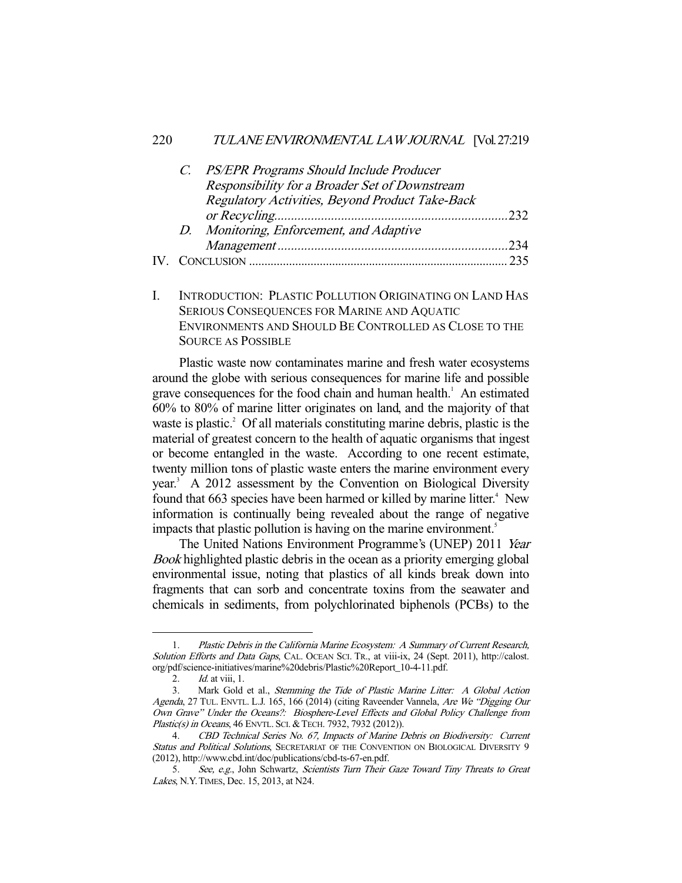### 220 TULANE ENVIRONMENTAL LAW JOURNAL [Vol. 27:219

|  | C. PS/EPR Programs Should Include Producer      |  |
|--|-------------------------------------------------|--|
|  | Responsibility for a Broader Set of Downstream  |  |
|  | Regulatory Activities, Beyond Product Take-Back |  |
|  |                                                 |  |
|  | D. Monitoring, Enforcement, and Adaptive        |  |
|  |                                                 |  |
|  |                                                 |  |
|  |                                                 |  |

I. INTRODUCTION: PLASTIC POLLUTION ORIGINATING ON LAND HAS SERIOUS CONSEQUENCES FOR MARINE AND AQUATIC ENVIRONMENTS AND SHOULD BE CONTROLLED AS CLOSE TO THE SOURCE AS POSSIBLE

 Plastic waste now contaminates marine and fresh water ecosystems around the globe with serious consequences for marine life and possible grave consequences for the food chain and human health.<sup>1</sup> An estimated 60% to 80% of marine litter originates on land, and the majority of that waste is plastic. $2$  Of all materials constituting marine debris, plastic is the material of greatest concern to the health of aquatic organisms that ingest or become entangled in the waste. According to one recent estimate, twenty million tons of plastic waste enters the marine environment every year.<sup>3</sup> A 2012 assessment by the Convention on Biological Diversity found that 663 species have been harmed or killed by marine litter.<sup>4</sup> New information is continually being revealed about the range of negative impacts that plastic pollution is having on the marine environment.<sup>5</sup>

The United Nations Environment Programme's (UNEP) 2011 Year Book highlighted plastic debris in the ocean as a priority emerging global environmental issue, noting that plastics of all kinds break down into fragments that can sorb and concentrate toxins from the seawater and chemicals in sediments, from polychlorinated biphenols (PCBs) to the

 <sup>1.</sup> Plastic Debris in the California Marine Ecosystem: A Summary of Current Research, Solution Efforts and Data Gaps, CAL. OCEAN SCI. TR., at viii-ix, 24 (Sept. 2011), http://calost. org/pdf/science-initiatives/marine%20debris/Plastic%20Report\_10-4-11.pdf.

<sup>2.</sup> *Id.* at viii, 1.<br>3. Mark Gold

Mark Gold et al., Stemming the Tide of Plastic Marine Litter: A Global Action Agenda, 27 TUL. ENVTL. L.J. 165, 166 (2014) (citing Raveender Vannela, Are We "Digging Our Own Grave" Under the Oceans?: Biosphere-Level Effects and Global Policy Challenge from Plastic(s) in Oceans, 46 ENVTL. SCI. & TECH. 7932, 7932 (2012)).

 <sup>4.</sup> CBD Technical Series No. 67, Impacts of Marine Debris on Biodiversity: Current Status and Political Solutions, SECRETARIAT OF THE CONVENTION ON BIOLOGICAL DIVERSITY 9 (2012), http://www.cbd.int/doc/publications/cbd-ts-67-en.pdf.

 <sup>5.</sup> See, e.g., John Schwartz, Scientists Turn Their Gaze Toward Tiny Threats to Great Lakes, N.Y.TIMES, Dec. 15, 2013, at N24.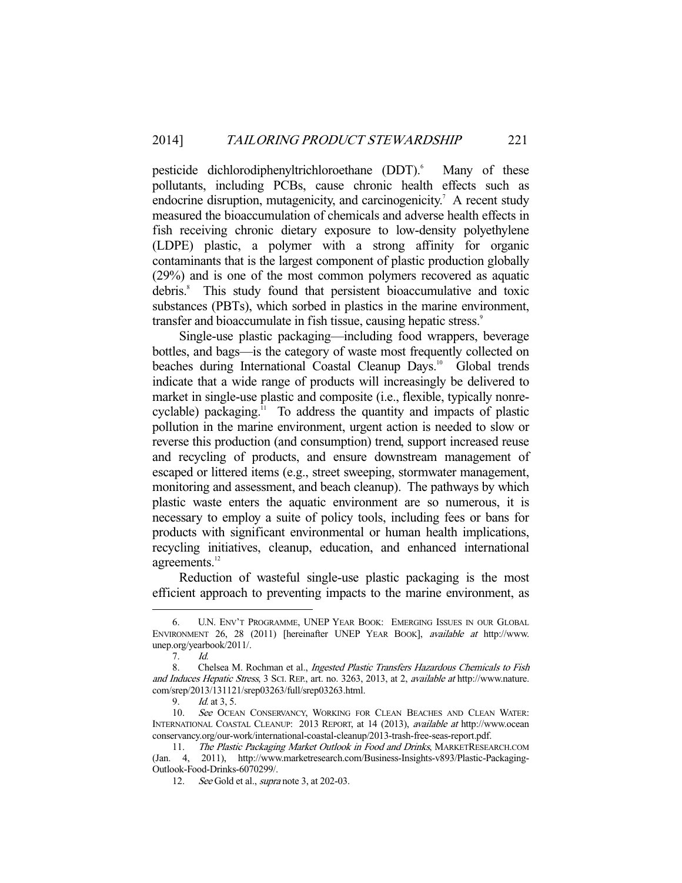pesticide dichlorodiphenyltrichloroethane (DDT).<sup>6</sup> Many of these pollutants, including PCBs, cause chronic health effects such as endocrine disruption, mutagenicity, and carcinogenicity.<sup>7</sup> A recent study measured the bioaccumulation of chemicals and adverse health effects in fish receiving chronic dietary exposure to low-density polyethylene (LDPE) plastic, a polymer with a strong affinity for organic contaminants that is the largest component of plastic production globally (29%) and is one of the most common polymers recovered as aquatic debris.<sup>8</sup> This study found that persistent bioaccumulative and toxic substances (PBTs), which sorbed in plastics in the marine environment, transfer and bioaccumulate in fish tissue, causing hepatic stress.<sup>9</sup>

 Single-use plastic packaging—including food wrappers, beverage bottles, and bags—is the category of waste most frequently collected on beaches during International Coastal Cleanup Days.<sup>10</sup> Global trends indicate that a wide range of products will increasingly be delivered to market in single-use plastic and composite (i.e., flexible, typically nonrecyclable) packaging. $\frac{1}{11}$  To address the quantity and impacts of plastic pollution in the marine environment, urgent action is needed to slow or reverse this production (and consumption) trend, support increased reuse and recycling of products, and ensure downstream management of escaped or littered items (e.g., street sweeping, stormwater management, monitoring and assessment, and beach cleanup). The pathways by which plastic waste enters the aquatic environment are so numerous, it is necessary to employ a suite of policy tools, including fees or bans for products with significant environmental or human health implications, recycling initiatives, cleanup, education, and enhanced international agreements.<sup>12</sup>

 Reduction of wasteful single-use plastic packaging is the most efficient approach to preventing impacts to the marine environment, as

 <sup>6.</sup> U.N. ENV'T PROGRAMME, UNEP YEAR BOOK: EMERGING ISSUES IN OUR GLOBAL ENVIRONMENT 26, 28 (2011) [hereinafter UNEP YEAR BOOK], available at http://www. unep.org/yearbook/2011/.

 <sup>7.</sup> Id.

<sup>8.</sup> Chelsea M. Rochman et al., Ingested Plastic Transfers Hazardous Chemicals to Fish and Induces Hepatic Stress, 3 SCI. REP., art. no. 3263, 2013, at 2, available at http://www.nature. com/srep/2013/131121/srep03263/full/srep03263.html.

 <sup>9.</sup> Id. at 3, 5.

<sup>10.</sup> See OCEAN CONSERVANCY, WORKING FOR CLEAN BEACHES AND CLEAN WATER: INTERNATIONAL COASTAL CLEANUP: 2013 REPORT, at 14 (2013), available at http://www.ocean conservancy.org/our-work/international-coastal-cleanup/2013-trash-free-seas-report.pdf.

<sup>11.</sup> The Plastic Packaging Market Outlook in Food and Drinks, MARKETRESEARCH.COM (Jan. 4, 2011), http://www.marketresearch.com/Business-Insights-v893/Plastic-Packaging-Outlook-Food-Drinks-6070299/.

<sup>12.</sup> See Gold et al., *supra* note 3, at 202-03.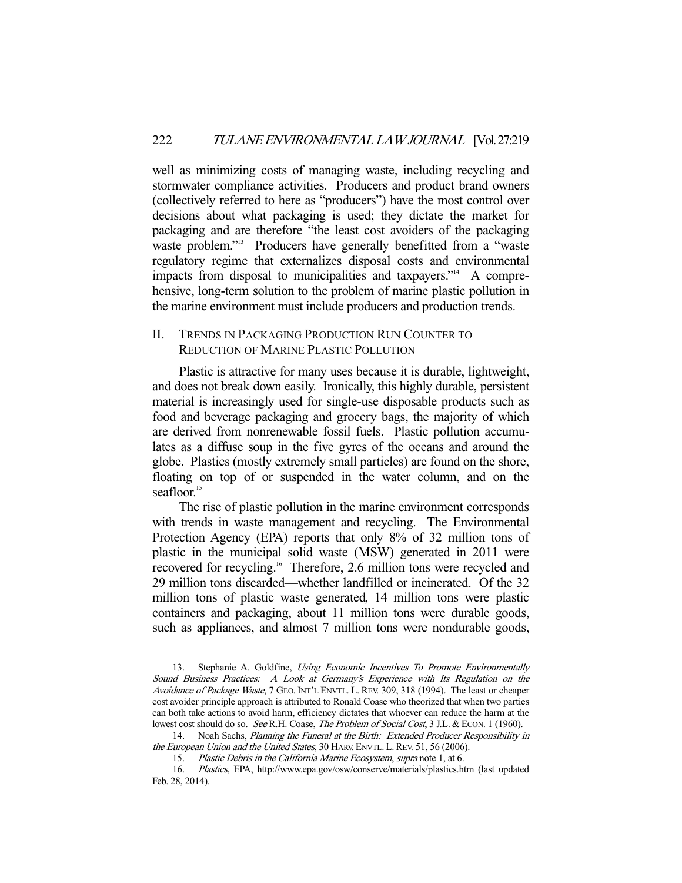well as minimizing costs of managing waste, including recycling and stormwater compliance activities. Producers and product brand owners (collectively referred to here as "producers") have the most control over decisions about what packaging is used; they dictate the market for packaging and are therefore "the least cost avoiders of the packaging waste problem."<sup>13</sup> Producers have generally benefitted from a "waste regulatory regime that externalizes disposal costs and environmental impacts from disposal to municipalities and taxpayers."<sup>14</sup> A comprehensive, long-term solution to the problem of marine plastic pollution in the marine environment must include producers and production trends.

## II. TRENDS IN PACKAGING PRODUCTION RUN COUNTER TO REDUCTION OF MARINE PLASTIC POLLUTION

 Plastic is attractive for many uses because it is durable, lightweight, and does not break down easily. Ironically, this highly durable, persistent material is increasingly used for single-use disposable products such as food and beverage packaging and grocery bags, the majority of which are derived from nonrenewable fossil fuels. Plastic pollution accumulates as a diffuse soup in the five gyres of the oceans and around the globe. Plastics (mostly extremely small particles) are found on the shore, floating on top of or suspended in the water column, and on the seafloor.<sup>15</sup>

 The rise of plastic pollution in the marine environment corresponds with trends in waste management and recycling. The Environmental Protection Agency (EPA) reports that only 8% of 32 million tons of plastic in the municipal solid waste (MSW) generated in 2011 were recovered for recycling.<sup>16</sup> Therefore, 2.6 million tons were recycled and 29 million tons discarded—whether landfilled or incinerated. Of the 32 million tons of plastic waste generated, 14 million tons were plastic containers and packaging, about 11 million tons were durable goods, such as appliances, and almost 7 million tons were nondurable goods,

<sup>13.</sup> Stephanie A. Goldfine, Using Economic Incentives To Promote Environmentally Sound Business Practices: A Look at Germany's Experience with Its Regulation on the Avoidance of Package Waste, 7 GEO. INT'L ENVTL. L. REV. 309, 318 (1994). The least or cheaper cost avoider principle approach is attributed to Ronald Coase who theorized that when two parties can both take actions to avoid harm, efficiency dictates that whoever can reduce the harm at the lowest cost should do so. See R.H. Coase, The Problem of Social Cost, 3 J.L. & ECON. 1 (1960).

<sup>14.</sup> Noah Sachs, Planning the Funeral at the Birth: Extended Producer Responsibility in the European Union and the United States, 30 HARV. ENVTL. L. REV. 51, 56 (2006).

<sup>15.</sup> Plastic Debris in the California Marine Ecosystem, supra note 1, at 6.

 <sup>16.</sup> Plastics, EPA, http://www.epa.gov/osw/conserve/materials/plastics.htm (last updated Feb. 28, 2014).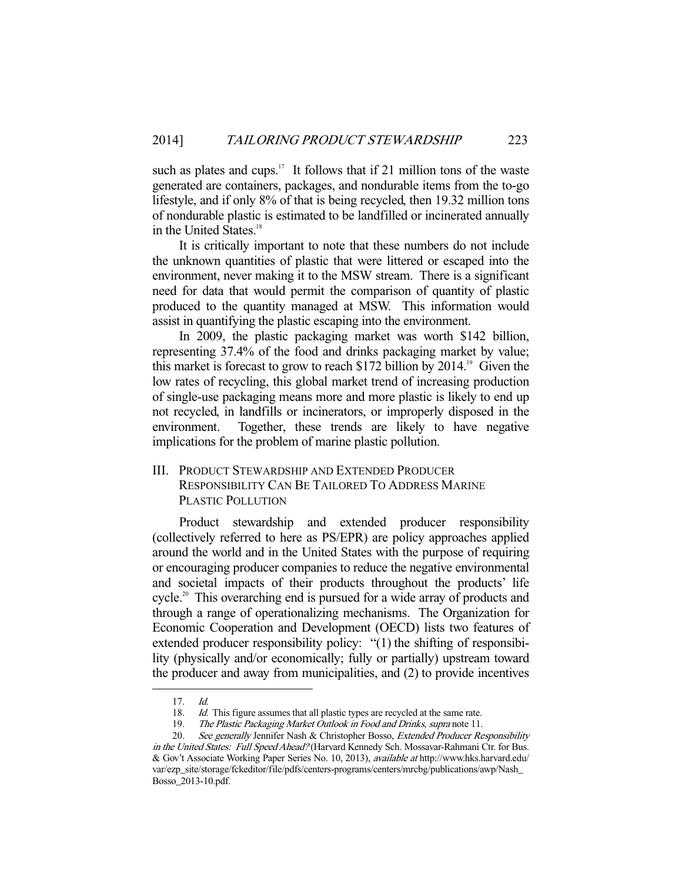such as plates and cups.<sup>17</sup> It follows that if 21 million tons of the waste generated are containers, packages, and nondurable items from the to-go lifestyle, and if only 8% of that is being recycled, then 19.32 million tons of nondurable plastic is estimated to be landfilled or incinerated annually in the United States.<sup>18</sup>

 It is critically important to note that these numbers do not include the unknown quantities of plastic that were littered or escaped into the environment, never making it to the MSW stream. There is a significant need for data that would permit the comparison of quantity of plastic produced to the quantity managed at MSW. This information would assist in quantifying the plastic escaping into the environment.

 In 2009, the plastic packaging market was worth \$142 billion, representing 37.4% of the food and drinks packaging market by value; this market is forecast to grow to reach \$172 billion by  $2014$ .<sup>19</sup> Given the low rates of recycling, this global market trend of increasing production of single-use packaging means more and more plastic is likely to end up not recycled, in landfills or incinerators, or improperly disposed in the environment. Together, these trends are likely to have negative implications for the problem of marine plastic pollution.

# III. PRODUCT STEWARDSHIP AND EXTENDED PRODUCER RESPONSIBILITY CAN BE TAILORED TO ADDRESS MARINE PLASTIC POLLUTION

 Product stewardship and extended producer responsibility (collectively referred to here as PS/EPR) are policy approaches applied around the world and in the United States with the purpose of requiring or encouraging producer companies to reduce the negative environmental and societal impacts of their products throughout the products' life cycle.20 This overarching end is pursued for a wide array of products and through a range of operationalizing mechanisms. The Organization for Economic Cooperation and Development (OECD) lists two features of extended producer responsibility policy: "(1) the shifting of responsibility (physically and/or economically; fully or partially) upstream toward the producer and away from municipalities, and (2) to provide incentives

 <sup>17.</sup> Id.

<sup>18.</sup> Id. This figure assumes that all plastic types are recycled at the same rate.

<sup>19.</sup> The Plastic Packaging Market Outlook in Food and Drinks, supra note 11.

<sup>20.</sup> See generally Jennifer Nash & Christopher Bosso, Extended Producer Responsibility in the United States: Full Speed Ahead? (Harvard Kennedy Sch. Mossavar-Rahmani Ctr. for Bus. & Gov't Associate Working Paper Series No. 10, 2013), available at http://www.hks.harvard.edu/ var/ezp\_site/storage/fckeditor/file/pdfs/centers-programs/centers/mrcbg/publications/awp/Nash\_ Bosso\_2013-10.pdf.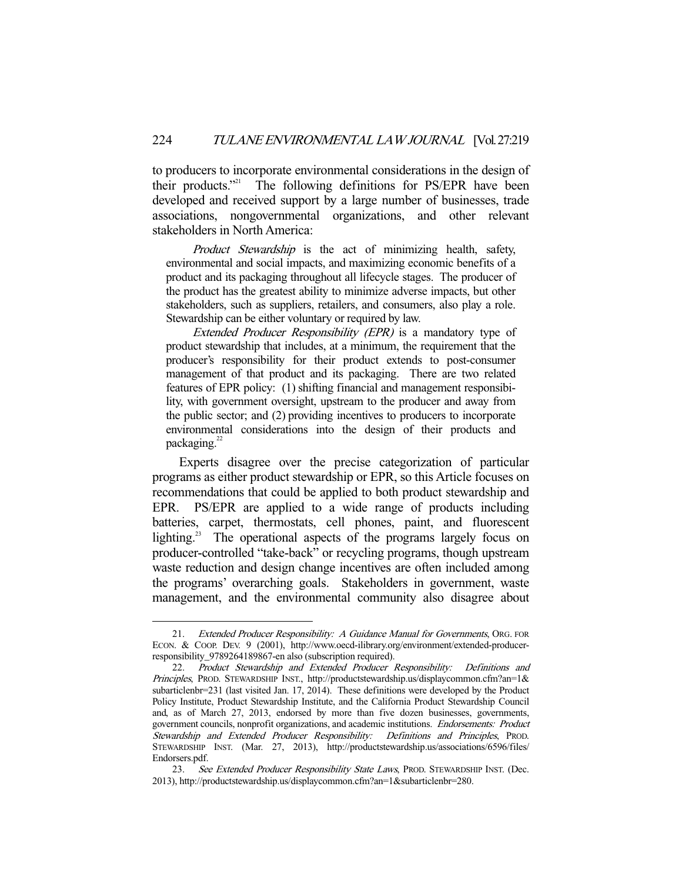to producers to incorporate environmental considerations in the design of their products."21 The following definitions for PS/EPR have been developed and received support by a large number of businesses, trade associations, nongovernmental organizations, and other relevant stakeholders in North America:

Product Stewardship is the act of minimizing health, safety, environmental and social impacts, and maximizing economic benefits of a product and its packaging throughout all lifecycle stages. The producer of the product has the greatest ability to minimize adverse impacts, but other stakeholders, such as suppliers, retailers, and consumers, also play a role. Stewardship can be either voluntary or required by law.

Extended Producer Responsibility (EPR) is a mandatory type of product stewardship that includes, at a minimum, the requirement that the producer's responsibility for their product extends to post-consumer management of that product and its packaging. There are two related features of EPR policy: (1) shifting financial and management responsibility, with government oversight, upstream to the producer and away from the public sector; and (2) providing incentives to producers to incorporate environmental considerations into the design of their products and packaging.<sup>22</sup>

 Experts disagree over the precise categorization of particular programs as either product stewardship or EPR, so this Article focuses on recommendations that could be applied to both product stewardship and EPR. PS/EPR are applied to a wide range of products including batteries, carpet, thermostats, cell phones, paint, and fluorescent lighting.<sup>23</sup> The operational aspects of the programs largely focus on producer-controlled "take-back" or recycling programs, though upstream waste reduction and design change incentives are often included among the programs' overarching goals. Stakeholders in government, waste management, and the environmental community also disagree about

<sup>21.</sup> Extended Producer Responsibility: A Guidance Manual for Governments, ORG. FOR ECON. & COOP. DEV. 9 (2001), http://www.oecd-ilibrary.org/environment/extended-producerresponsibility\_9789264189867-en also (subscription required).

 <sup>22.</sup> Product Stewardship and Extended Producer Responsibility: Definitions and Principles, PROD. STEWARDSHIP INST., http://productstewardship.us/displaycommon.cfm?an=1& subarticlenbr=231 (last visited Jan. 17, 2014). These definitions were developed by the Product Policy Institute, Product Stewardship Institute, and the California Product Stewardship Council and, as of March 27, 2013, endorsed by more than five dozen businesses, governments, government councils, nonprofit organizations, and academic institutions. Endorsements: Product Stewardship and Extended Producer Responsibility: Definitions and Principles, PROD. STEWARDSHIP INST. (Mar. 27, 2013), http://productstewardship.us/associations/6596/files/ Endorsers.pdf.

<sup>23.</sup> See Extended Producer Responsibility State Laws, PROD. STEWARDSHIP INST. (Dec. 2013), http://productstewardship.us/displaycommon.cfm?an=1&subarticlenbr=280.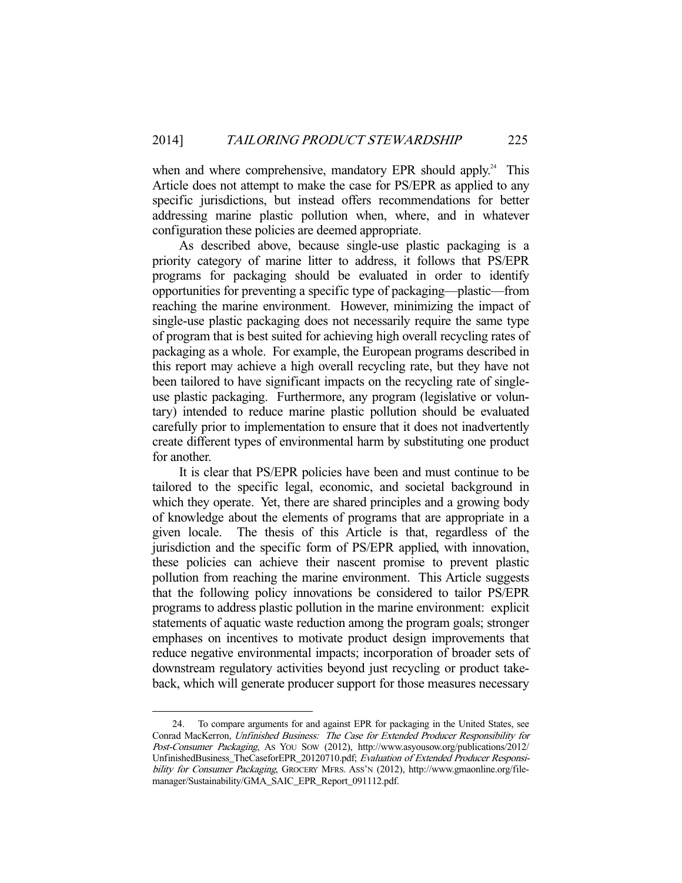when and where comprehensive, mandatory EPR should apply.<sup>24</sup> This Article does not attempt to make the case for PS/EPR as applied to any specific jurisdictions, but instead offers recommendations for better addressing marine plastic pollution when, where, and in whatever configuration these policies are deemed appropriate.

 As described above, because single-use plastic packaging is a priority category of marine litter to address, it follows that PS/EPR programs for packaging should be evaluated in order to identify opportunities for preventing a specific type of packaging—plastic—from reaching the marine environment. However, minimizing the impact of single-use plastic packaging does not necessarily require the same type of program that is best suited for achieving high overall recycling rates of packaging as a whole. For example, the European programs described in this report may achieve a high overall recycling rate, but they have not been tailored to have significant impacts on the recycling rate of singleuse plastic packaging. Furthermore, any program (legislative or voluntary) intended to reduce marine plastic pollution should be evaluated carefully prior to implementation to ensure that it does not inadvertently create different types of environmental harm by substituting one product for another.

 It is clear that PS/EPR policies have been and must continue to be tailored to the specific legal, economic, and societal background in which they operate. Yet, there are shared principles and a growing body of knowledge about the elements of programs that are appropriate in a given locale. The thesis of this Article is that, regardless of the jurisdiction and the specific form of PS/EPR applied, with innovation, these policies can achieve their nascent promise to prevent plastic pollution from reaching the marine environment. This Article suggests that the following policy innovations be considered to tailor PS/EPR programs to address plastic pollution in the marine environment: explicit statements of aquatic waste reduction among the program goals; stronger emphases on incentives to motivate product design improvements that reduce negative environmental impacts; incorporation of broader sets of downstream regulatory activities beyond just recycling or product takeback, which will generate producer support for those measures necessary

 <sup>24.</sup> To compare arguments for and against EPR for packaging in the United States, see Conrad MacKerron, Unfinished Business: The Case for Extended Producer Responsibility for Post-Consumer Packaging, AS YOU SOW (2012), http://www.asyousow.org/publications/2012/ UnfinishedBusiness\_TheCaseforEPR\_20120710.pdf; Evaluation of Extended Producer Responsibility for Consumer Packaging, GROCERY MFRS. ASS'N (2012), http://www.gmaonline.org/filemanager/Sustainability/GMA\_SAIC\_EPR\_Report\_091112.pdf.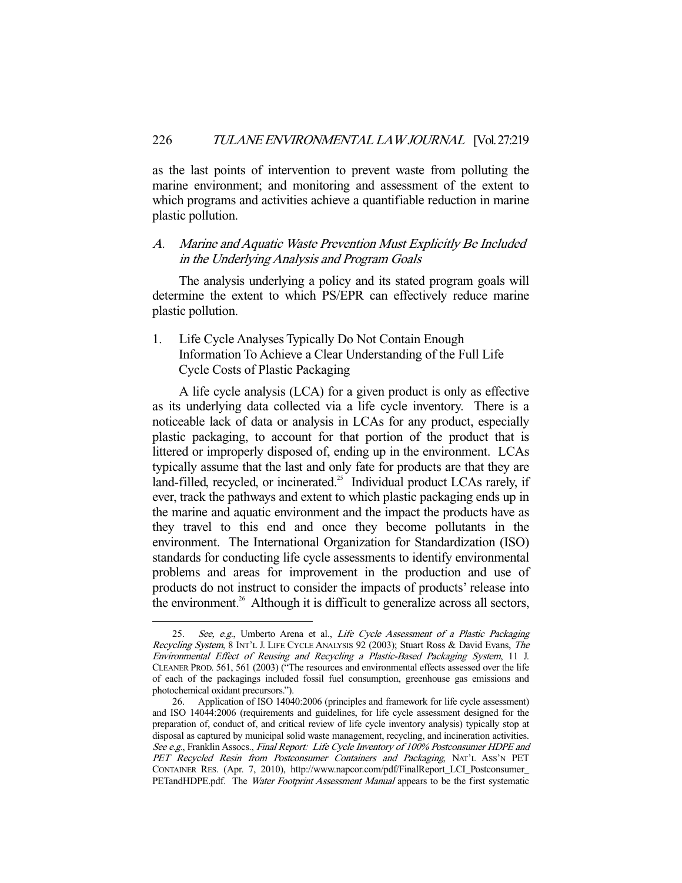as the last points of intervention to prevent waste from polluting the marine environment; and monitoring and assessment of the extent to which programs and activities achieve a quantifiable reduction in marine plastic pollution.

## A. Marine and Aquatic Waste Prevention Must Explicitly Be Included in the Underlying Analysis and Program Goals

 The analysis underlying a policy and its stated program goals will determine the extent to which PS/EPR can effectively reduce marine plastic pollution.

1. Life Cycle Analyses Typically Do Not Contain Enough Information To Achieve a Clear Understanding of the Full Life Cycle Costs of Plastic Packaging

 A life cycle analysis (LCA) for a given product is only as effective as its underlying data collected via a life cycle inventory. There is a noticeable lack of data or analysis in LCAs for any product, especially plastic packaging, to account for that portion of the product that is littered or improperly disposed of, ending up in the environment. LCAs typically assume that the last and only fate for products are that they are land-filled, recycled, or incinerated.<sup>25</sup> Individual product LCAs rarely, if ever, track the pathways and extent to which plastic packaging ends up in the marine and aquatic environment and the impact the products have as they travel to this end and once they become pollutants in the environment. The International Organization for Standardization (ISO) standards for conducting life cycle assessments to identify environmental problems and areas for improvement in the production and use of products do not instruct to consider the impacts of products' release into the environment.<sup>26</sup> Although it is difficult to generalize across all sectors,

<sup>25.</sup> See, e.g., Umberto Arena et al., Life Cycle Assessment of a Plastic Packaging Recycling System, 8 INT'L J. LIFE CYCLE ANALYSIS 92 (2003); Stuart Ross & David Evans, The Environmental Effect of Reusing and Recycling a Plastic-Based Packaging System, 11 J. CLEANER PROD. 561, 561 (2003) ("The resources and environmental effects assessed over the life of each of the packagings included fossil fuel consumption, greenhouse gas emissions and photochemical oxidant precursors.").

 <sup>26.</sup> Application of ISO 14040:2006 (principles and framework for life cycle assessment) and ISO 14044:2006 (requirements and guidelines, for life cycle assessment designed for the preparation of, conduct of, and critical review of life cycle inventory analysis) typically stop at disposal as captured by municipal solid waste management, recycling, and incineration activities. See e.g., Franklin Assocs., Final Report: Life Cycle Inventory of 100% Postconsumer HDPE and PET Recycled Resin from Postconsumer Containers and Packaging, NAT'L ASS'N PET CONTAINER RES. (Apr. 7, 2010), http://www.napcor.com/pdf/FinalReport\_LCI\_Postconsumer\_ PETandHDPE.pdf. The Water Footprint Assessment Manual appears to be the first systematic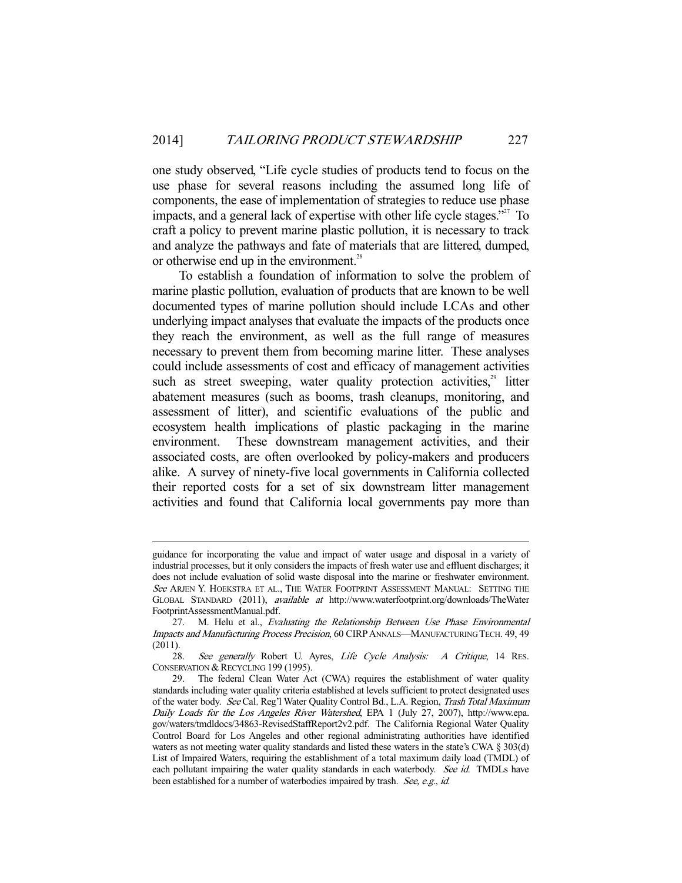one study observed, "Life cycle studies of products tend to focus on the use phase for several reasons including the assumed long life of components, the ease of implementation of strategies to reduce use phase impacts, and a general lack of expertise with other life cycle stages."<sup>27</sup> To craft a policy to prevent marine plastic pollution, it is necessary to track and analyze the pathways and fate of materials that are littered, dumped, or otherwise end up in the environment. $^{28}$ 

 To establish a foundation of information to solve the problem of marine plastic pollution, evaluation of products that are known to be well documented types of marine pollution should include LCAs and other underlying impact analyses that evaluate the impacts of the products once they reach the environment, as well as the full range of measures necessary to prevent them from becoming marine litter. These analyses could include assessments of cost and efficacy of management activities such as street sweeping, water quality protection activities, $29$  litter abatement measures (such as booms, trash cleanups, monitoring, and assessment of litter), and scientific evaluations of the public and ecosystem health implications of plastic packaging in the marine environment. These downstream management activities, and their associated costs, are often overlooked by policy-makers and producers alike. A survey of ninety-five local governments in California collected their reported costs for a set of six downstream litter management activities and found that California local governments pay more than

guidance for incorporating the value and impact of water usage and disposal in a variety of industrial processes, but it only considers the impacts of fresh water use and effluent discharges; it does not include evaluation of solid waste disposal into the marine or freshwater environment. See ARJEN Y. HOEKSTRA ET AL., THE WATER FOOTPRINT ASSESSMENT MANUAL: SETTING THE GLOBAL STANDARD (2011), available at http://www.waterfootprint.org/downloads/TheWater FootprintAssessmentManual.pdf.

<sup>27.</sup> M. Helu et al., Evaluating the Relationship Between Use Phase Environmental Impacts and Manufacturing Process Precision, 60 CIRPANNALS—MANUFACTURING TECH. 49, 49 (2011).

<sup>28.</sup> See generally Robert U. Ayres, Life Cycle Analysis: A Critique, 14 RES. CONSERVATION & RECYCLING 199 (1995).<br>29. The federal Clean Water Ac

The federal Clean Water Act (CWA) requires the establishment of water quality standards including water quality criteria established at levels sufficient to protect designated uses of the water body. See Cal. Reg'l Water Quality Control Bd., L.A. Region, Trash Total Maximum Daily Loads for the Los Angeles River Watershed, EPA 1 (July 27, 2007), http://www.epa. gov/waters/tmdldocs/34863-RevisedStaffReport2v2.pdf. The California Regional Water Quality Control Board for Los Angeles and other regional administrating authorities have identified waters as not meeting water quality standards and listed these waters in the state's CWA § 303(d) List of Impaired Waters, requiring the establishment of a total maximum daily load (TMDL) of each pollutant impairing the water quality standards in each waterbody. See id. TMDLs have been established for a number of waterbodies impaired by trash. See, e.g., id.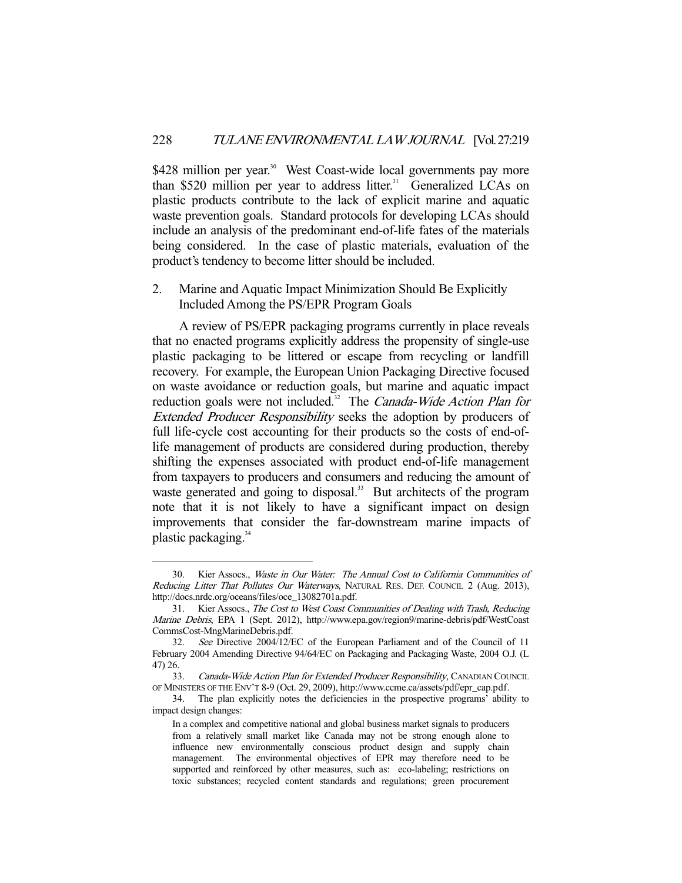\$428 million per year.<sup>30</sup> West Coast-wide local governments pay more than \$520 million per year to address litter.<sup>31</sup> Generalized LCAs on plastic products contribute to the lack of explicit marine and aquatic waste prevention goals. Standard protocols for developing LCAs should include an analysis of the predominant end-of-life fates of the materials being considered. In the case of plastic materials, evaluation of the product's tendency to become litter should be included.

2. Marine and Aquatic Impact Minimization Should Be Explicitly Included Among the PS/EPR Program Goals

 A review of PS/EPR packaging programs currently in place reveals that no enacted programs explicitly address the propensity of single-use plastic packaging to be littered or escape from recycling or landfill recovery. For example, the European Union Packaging Directive focused on waste avoidance or reduction goals, but marine and aquatic impact reduction goals were not included.<sup>32</sup> The *Canada-Wide Action Plan for* Extended Producer Responsibility seeks the adoption by producers of full life-cycle cost accounting for their products so the costs of end-oflife management of products are considered during production, thereby shifting the expenses associated with product end-of-life management from taxpayers to producers and consumers and reducing the amount of waste generated and going to disposal.<sup>33</sup> But architects of the program note that it is not likely to have a significant impact on design improvements that consider the far-downstream marine impacts of plastic packaging.<sup>34</sup>

 <sup>30.</sup> Kier Assocs., Waste in Our Water: The Annual Cost to California Communities of Reducing Litter That Pollutes Our Waterways, NATURAL RES. DEF. COUNCIL 2 (Aug. 2013), http://docs.nrdc.org/oceans/files/oce\_13082701a.pdf.

 <sup>31.</sup> Kier Assocs., The Cost to West Coast Communities of Dealing with Trash, Reducing Marine Debris, EPA 1 (Sept. 2012), http://www.epa.gov/region9/marine-debris/pdf/WestCoast CommsCost-MngMarineDebris.pdf.

 <sup>32.</sup> See Directive 2004/12/EC of the European Parliament and of the Council of 11 February 2004 Amending Directive 94/64/EC on Packaging and Packaging Waste, 2004 O.J. (L 47) 26.

<sup>33.</sup> Canada-Wide Action Plan for Extended Producer Responsibility, CANADIAN COUNCIL OF MINISTERS OF THE ENV'T 8-9 (Oct. 29, 2009), http://www.ccme.ca/assets/pdf/epr\_cap.pdf.

 <sup>34.</sup> The plan explicitly notes the deficiencies in the prospective programs' ability to impact design changes:

In a complex and competitive national and global business market signals to producers from a relatively small market like Canada may not be strong enough alone to influence new environmentally conscious product design and supply chain management. The environmental objectives of EPR may therefore need to be supported and reinforced by other measures, such as: eco-labeling; restrictions on toxic substances; recycled content standards and regulations; green procurement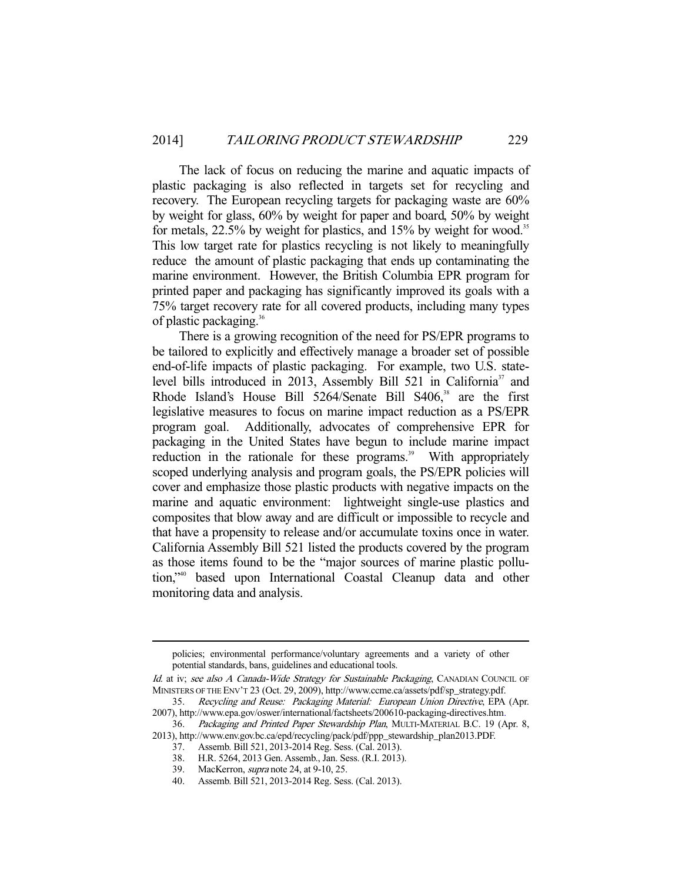The lack of focus on reducing the marine and aquatic impacts of plastic packaging is also reflected in targets set for recycling and recovery. The European recycling targets for packaging waste are 60% by weight for glass, 60% by weight for paper and board, 50% by weight for metals, 22.5% by weight for plastics, and 15% by weight for wood.<sup>35</sup> This low target rate for plastics recycling is not likely to meaningfully reduce the amount of plastic packaging that ends up contaminating the marine environment. However, the British Columbia EPR program for printed paper and packaging has significantly improved its goals with a 75% target recovery rate for all covered products, including many types of plastic packaging.36

 There is a growing recognition of the need for PS/EPR programs to be tailored to explicitly and effectively manage a broader set of possible end-of-life impacts of plastic packaging. For example, two U.S. statelevel bills introduced in 2013, Assembly Bill 521 in California<sup>37</sup> and Rhode Island's House Bill 5264/Senate Bill S406,<sup>38</sup> are the first legislative measures to focus on marine impact reduction as a PS/EPR program goal. Additionally, advocates of comprehensive EPR for packaging in the United States have begun to include marine impact reduction in the rationale for these programs.<sup>39</sup> With appropriately scoped underlying analysis and program goals, the PS/EPR policies will cover and emphasize those plastic products with negative impacts on the marine and aquatic environment: lightweight single-use plastics and composites that blow away and are difficult or impossible to recycle and that have a propensity to release and/or accumulate toxins once in water. California Assembly Bill 521 listed the products covered by the program as those items found to be the "major sources of marine plastic pollution,"40 based upon International Coastal Cleanup data and other monitoring data and analysis.

policies; environmental performance/voluntary agreements and a variety of other potential standards, bans, guidelines and educational tools.

Id. at iv; see also A Canada-Wide Strategy for Sustainable Packaging, CANADIAN COUNCIL OF MINISTERS OF THE ENV'T 23 (Oct. 29, 2009), http://www.ccme.ca/assets/pdf/sp\_strategy.pdf.

 <sup>35.</sup> Recycling and Reuse: Packaging Material: European Union Directive, EPA (Apr. 2007), http://www.epa.gov/oswer/international/factsheets/200610-packaging-directives.htm.<br>36. Packaging and Printed Paper Stewardship Plan, MULTI-MATERIAL B.C. 19 (A

Packaging and Printed Paper Stewardship Plan, MULTI-MATERIAL B.C. 19 (Apr. 8, 2013), http://www.env.gov.bc.ca/epd/recycling/pack/pdf/ppp\_stewardship\_plan2013.PDF.

 <sup>37.</sup> Assemb. Bill 521, 2013-2014 Reg. Sess. (Cal. 2013).

 <sup>38.</sup> H.R. 5264, 2013 Gen. Assemb., Jan. Sess. (R.I. 2013).

 <sup>39.</sup> MacKerron, supra note 24, at 9-10, 25.

 <sup>40.</sup> Assemb. Bill 521, 2013-2014 Reg. Sess. (Cal. 2013).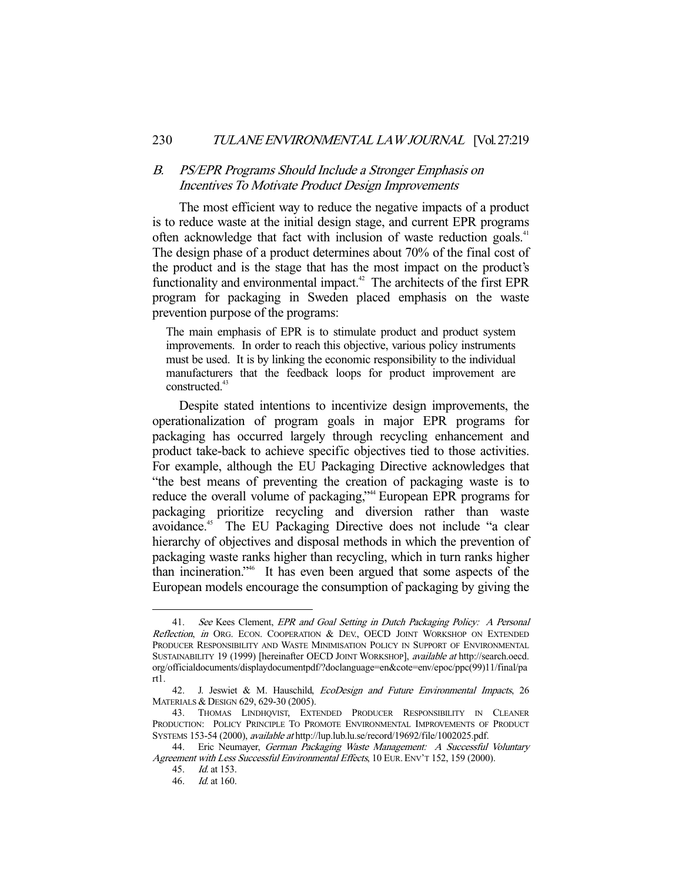#### 230 TULANE ENVIRONMENTAL LAW JOURNAL [Vol. 27:219

#### B. PS/EPR Programs Should Include a Stronger Emphasis on Incentives To Motivate Product Design Improvements

 The most efficient way to reduce the negative impacts of a product is to reduce waste at the initial design stage, and current EPR programs often acknowledge that fact with inclusion of waste reduction goals.<sup>41</sup> The design phase of a product determines about 70% of the final cost of the product and is the stage that has the most impact on the product's functionality and environmental impact.<sup>42</sup> The architects of the first EPR program for packaging in Sweden placed emphasis on the waste prevention purpose of the programs:

The main emphasis of EPR is to stimulate product and product system improvements. In order to reach this objective, various policy instruments must be used. It is by linking the economic responsibility to the individual manufacturers that the feedback loops for product improvement are constructed<sup>43</sup>

 Despite stated intentions to incentivize design improvements, the operationalization of program goals in major EPR programs for packaging has occurred largely through recycling enhancement and product take-back to achieve specific objectives tied to those activities. For example, although the EU Packaging Directive acknowledges that "the best means of preventing the creation of packaging waste is to reduce the overall volume of packaging,"<sup>44</sup> European EPR programs for packaging prioritize recycling and diversion rather than waste avoidance.45 The EU Packaging Directive does not include "a clear hierarchy of objectives and disposal methods in which the prevention of packaging waste ranks higher than recycling, which in turn ranks higher than incineration."46 It has even been argued that some aspects of the European models encourage the consumption of packaging by giving the

<sup>41.</sup> See Kees Clement, EPR and Goal Setting in Dutch Packaging Policy: A Personal Reflection, in ORG. ECON. COOPERATION & DEV. OECD JOINT WORKSHOP ON EXTENDED PRODUCER RESPONSIBILITY AND WASTE MINIMISATION POLICY IN SUPPORT OF ENVIRONMENTAL SUSTAINABILITY 19 (1999) [hereinafter OECD JOINT WORKSHOP], available at http://search.oecd. org/officialdocuments/displaydocumentpdf/?doclanguage=en&cote=env/epoc/ppc(99)11/final/pa rt1.

 <sup>42.</sup> J. Jeswiet & M. Hauschild, EcoDesign and Future Environmental Impacts, 26 MATERIALS & DESIGN 629, 629-30 (2005).

 <sup>43.</sup> THOMAS LINDHQVIST, EXTENDED PRODUCER RESPONSIBILITY IN CLEANER PRODUCTION: POLICY PRINCIPLE TO PROMOTE ENVIRONMENTAL IMPROVEMENTS OF PRODUCT SYSTEMS 153-54 (2000), available at http://lup.lub.lu.se/record/19692/file/1002025.pdf.

 <sup>44.</sup> Eric Neumayer, German Packaging Waste Management: A Successful Voluntary Agreement with Less Successful Environmental Effects, 10 EUR. ENV'T 152, 159 (2000).

 <sup>45.</sup> Id. at 153.

 <sup>46.</sup> Id. at 160.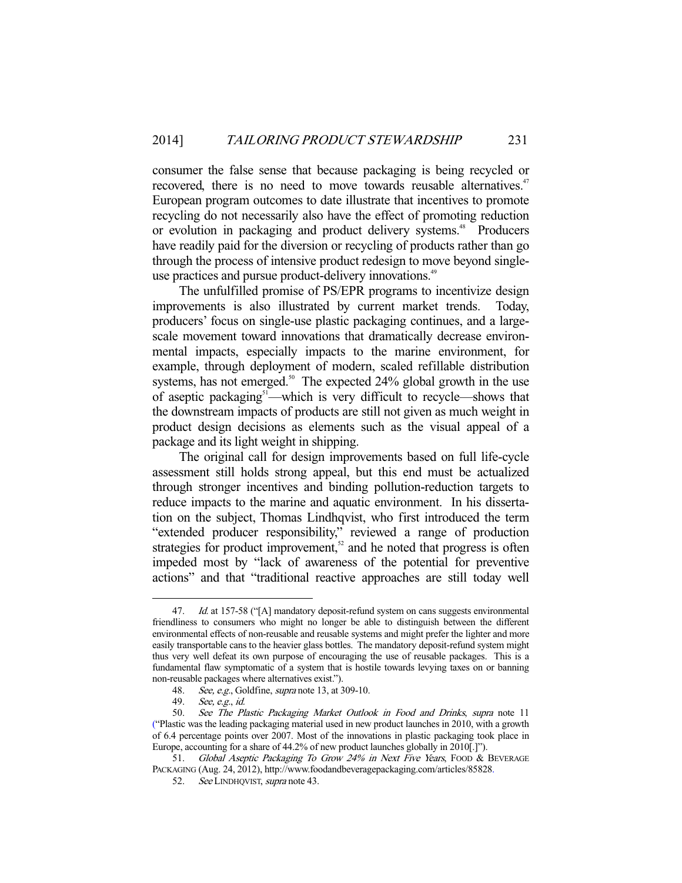consumer the false sense that because packaging is being recycled or recovered, there is no need to move towards reusable alternatives.<sup>47</sup> European program outcomes to date illustrate that incentives to promote recycling do not necessarily also have the effect of promoting reduction or evolution in packaging and product delivery systems.<sup>48</sup> Producers have readily paid for the diversion or recycling of products rather than go through the process of intensive product redesign to move beyond singleuse practices and pursue product-delivery innovations.<sup>49</sup>

 The unfulfilled promise of PS/EPR programs to incentivize design improvements is also illustrated by current market trends. Today, producers' focus on single-use plastic packaging continues, and a largescale movement toward innovations that dramatically decrease environmental impacts, especially impacts to the marine environment, for example, through deployment of modern, scaled refillable distribution systems, has not emerged.<sup>50</sup> The expected  $24\%$  global growth in the use of aseptic packaging<sup>51</sup>—which is very difficult to recycle—shows that the downstream impacts of products are still not given as much weight in product design decisions as elements such as the visual appeal of a package and its light weight in shipping.

 The original call for design improvements based on full life-cycle assessment still holds strong appeal, but this end must be actualized through stronger incentives and binding pollution-reduction targets to reduce impacts to the marine and aquatic environment. In his dissertation on the subject, Thomas Lindhqvist, who first introduced the term "extended producer responsibility," reviewed a range of production strategies for product improvement, $52$  and he noted that progress is often impeded most by "lack of awareness of the potential for preventive actions" and that "traditional reactive approaches are still today well

Id. at 157-58 ("[A] mandatory deposit-refund system on cans suggests environmental friendliness to consumers who might no longer be able to distinguish between the different environmental effects of non-reusable and reusable systems and might prefer the lighter and more easily transportable cans to the heavier glass bottles. The mandatory deposit-refund system might thus very well defeat its own purpose of encouraging the use of reusable packages. This is a fundamental flaw symptomatic of a system that is hostile towards levying taxes on or banning non-reusable packages where alternatives exist.").

<sup>48.</sup> See, e.g., Goldfine, supra note 13, at 309-10.

 <sup>49.</sup> See, e.g., id.

 <sup>50.</sup> See The Plastic Packaging Market Outlook in Food and Drinks, supra note 11 ("Plastic was the leading packaging material used in new product launches in 2010, with a growth of 6.4 percentage points over 2007. Most of the innovations in plastic packaging took place in Europe, accounting for a share of 44.2% of new product launches globally in 2010[.]").

<sup>51.</sup> Global Aseptic Packaging To Grow 24% in Next Five Years, FOOD & BEVERAGE PACKAGING (Aug. 24, 2012), http://www.foodandbeveragepackaging.com/articles/85828.

<sup>52.</sup> See LINDHQVIST, supra note 43.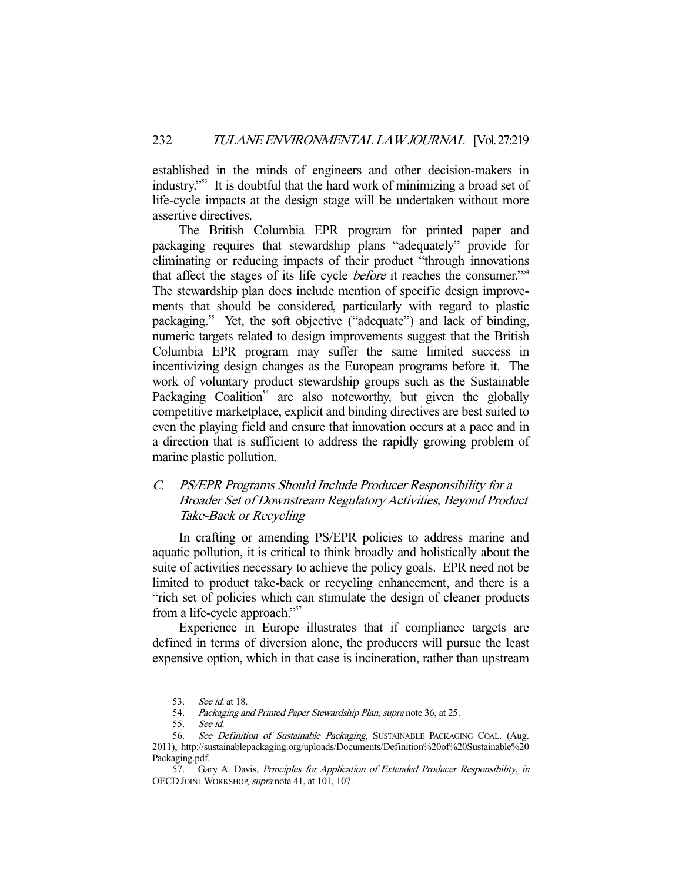established in the minds of engineers and other decision-makers in industry."53 It is doubtful that the hard work of minimizing a broad set of life-cycle impacts at the design stage will be undertaken without more assertive directives.

 The British Columbia EPR program for printed paper and packaging requires that stewardship plans "adequately" provide for eliminating or reducing impacts of their product "through innovations that affect the stages of its life cycle *before* it reaches the consumer."<sup>54</sup> The stewardship plan does include mention of specific design improvements that should be considered, particularly with regard to plastic packaging.<sup>55</sup> Yet, the soft objective ("adequate") and lack of binding, numeric targets related to design improvements suggest that the British Columbia EPR program may suffer the same limited success in incentivizing design changes as the European programs before it. The work of voluntary product stewardship groups such as the Sustainable Packaging Coalition<sup>56</sup> are also noteworthy, but given the globally competitive marketplace, explicit and binding directives are best suited to even the playing field and ensure that innovation occurs at a pace and in a direction that is sufficient to address the rapidly growing problem of marine plastic pollution.

# C. PS/EPR Programs Should Include Producer Responsibility for a Broader Set of Downstream Regulatory Activities, Beyond Product Take-Back or Recycling

 In crafting or amending PS/EPR policies to address marine and aquatic pollution, it is critical to think broadly and holistically about the suite of activities necessary to achieve the policy goals. EPR need not be limited to product take-back or recycling enhancement, and there is a "rich set of policies which can stimulate the design of cleaner products from a life-cycle approach."<sup>57</sup>

 Experience in Europe illustrates that if compliance targets are defined in terms of diversion alone, the producers will pursue the least expensive option, which in that case is incineration, rather than upstream

 <sup>53.</sup> See id. at 18.

<sup>54.</sup> Packaging and Printed Paper Stewardship Plan, supra note 36, at 25.<br>55. See id.

See id.

<sup>56.</sup> See Definition of Sustainable Packaging, SUSTAINABLE PACKAGING COAL. (Aug. 2011), http://sustainablepackaging.org/uploads/Documents/Definition%20of%20Sustainable%20 Packaging.pdf.

 <sup>57.</sup> Gary A. Davis, Principles for Application of Extended Producer Responsibility, in OECD JOINT WORKSHOP, supra note 41, at 101, 107.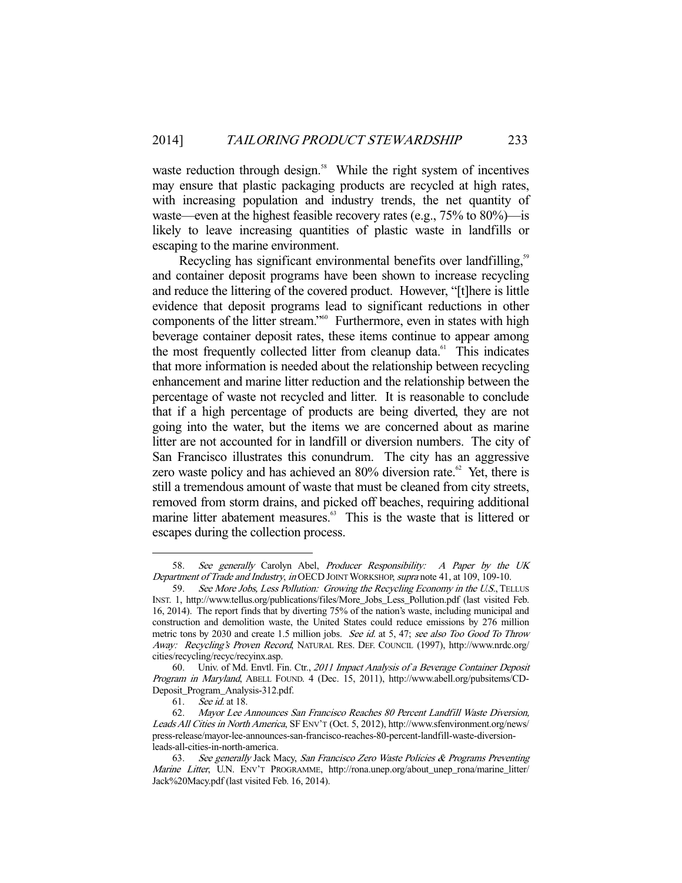waste reduction through design.<sup>58</sup> While the right system of incentives may ensure that plastic packaging products are recycled at high rates, with increasing population and industry trends, the net quantity of waste—even at the highest feasible recovery rates (e.g., 75% to 80%)—is likely to leave increasing quantities of plastic waste in landfills or escaping to the marine environment.

Recycling has significant environmental benefits over landfilling,<sup>59</sup> and container deposit programs have been shown to increase recycling and reduce the littering of the covered product. However, "[t]here is little evidence that deposit programs lead to significant reductions in other components of the litter stream."<sup>60</sup> Furthermore, even in states with high beverage container deposit rates, these items continue to appear among the most frequently collected litter from cleanup data.<sup>61</sup> This indicates that more information is needed about the relationship between recycling enhancement and marine litter reduction and the relationship between the percentage of waste not recycled and litter. It is reasonable to conclude that if a high percentage of products are being diverted, they are not going into the water, but the items we are concerned about as marine litter are not accounted for in landfill or diversion numbers. The city of San Francisco illustrates this conundrum. The city has an aggressive zero waste policy and has achieved an  $80\%$  diversion rate.<sup>62</sup> Yet, there is still a tremendous amount of waste that must be cleaned from city streets, removed from storm drains, and picked off beaches, requiring additional marine litter abatement measures.<sup>63</sup> This is the waste that is littered or escapes during the collection process.

<sup>58.</sup> See generally Carolyn Abel, Producer Responsibility: A Paper by the UK Department of Trade and Industry, in OECD JOINT WORKSHOP, supra note 41, at 109, 109-10.

<sup>59.</sup> See More Jobs, Less Pollution: Growing the Recycling Economy in the U.S., TELLUS INST. 1, http://www.tellus.org/publications/files/More\_Jobs\_Less\_Pollution.pdf (last visited Feb. 16, 2014). The report finds that by diverting 75% of the nation's waste, including municipal and construction and demolition waste, the United States could reduce emissions by 276 million metric tons by 2030 and create 1.5 million jobs. See id. at 5, 47; see also Too Good To Throw Away: Recycling's Proven Record, NATURAL RES. DEF. COUNCIL (1997), http://www.nrdc.org/ cities/recycling/recyc/recyinx.asp.

 <sup>60.</sup> Univ. of Md. Envtl. Fin. Ctr., 2011 Impact Analysis of a Beverage Container Deposit Program in Maryland, ABELL FOUND. 4 (Dec. 15, 2011), http://www.abell.org/pubsitems/CD-Deposit\_Program\_Analysis-312.pdf.

 <sup>61.</sup> See id. at 18.

 <sup>62.</sup> Mayor Lee Announces San Francisco Reaches 80 Percent Landfill Waste Diversion, Leads All Cities in North America, SF ENV'T (Oct. 5, 2012), http://www.sfenvironment.org/news/ press-release/mayor-lee-announces-san-francisco-reaches-80-percent-landfill-waste-diversionleads-all-cities-in-north-america.

 <sup>63.</sup> See generally Jack Macy, San Francisco Zero Waste Policies & Programs Preventing Marine Litter, U.N. ENV'T PROGRAMME, http://rona.unep.org/about\_unep\_rona/marine\_litter/ Jack%20Macy.pdf (last visited Feb. 16, 2014).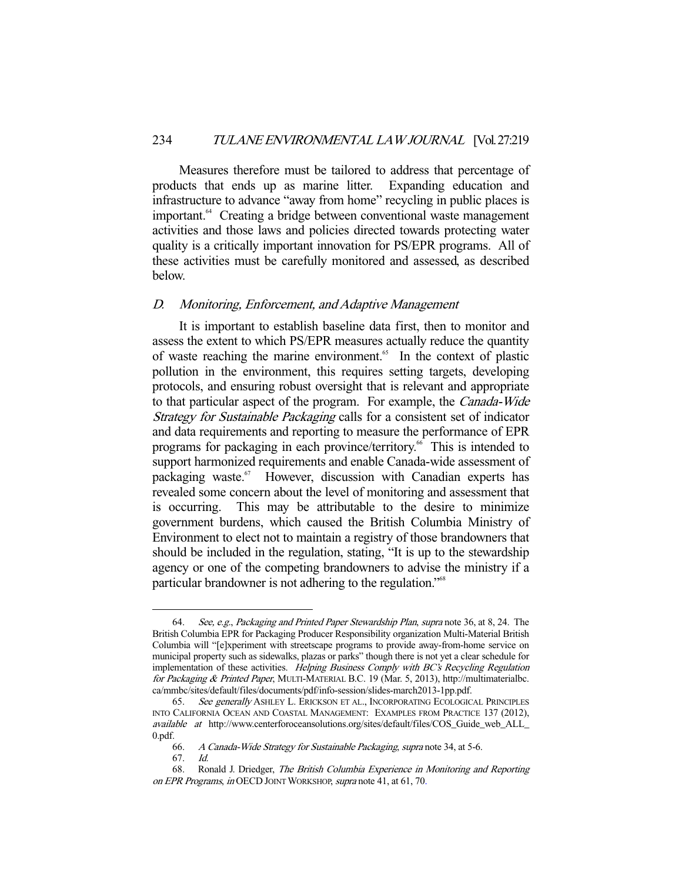Measures therefore must be tailored to address that percentage of products that ends up as marine litter. Expanding education and infrastructure to advance "away from home" recycling in public places is important.<sup>64</sup> Creating a bridge between conventional waste management activities and those laws and policies directed towards protecting water quality is a critically important innovation for PS/EPR programs. All of these activities must be carefully monitored and assessed, as described below.

#### D. Monitoring, Enforcement, and Adaptive Management

 It is important to establish baseline data first, then to monitor and assess the extent to which PS/EPR measures actually reduce the quantity of waste reaching the marine environment.<sup>65</sup> In the context of plastic pollution in the environment, this requires setting targets, developing protocols, and ensuring robust oversight that is relevant and appropriate to that particular aspect of the program. For example, the Canada-Wide Strategy for Sustainable Packaging calls for a consistent set of indicator and data requirements and reporting to measure the performance of EPR programs for packaging in each province/territory.<sup>66</sup> This is intended to support harmonized requirements and enable Canada-wide assessment of packaging waste.<sup>67</sup> However, discussion with Canadian experts has revealed some concern about the level of monitoring and assessment that is occurring. This may be attributable to the desire to minimize government burdens, which caused the British Columbia Ministry of Environment to elect not to maintain a registry of those brandowners that should be included in the regulation, stating, "It is up to the stewardship agency or one of the competing brandowners to advise the ministry if a particular brandowner is not adhering to the regulation."<sup>68</sup>

<sup>64.</sup> See, e.g., Packaging and Printed Paper Stewardship Plan, supra note 36, at 8, 24. The British Columbia EPR for Packaging Producer Responsibility organization Multi-Material British Columbia will "[e]xperiment with streetscape programs to provide away-from-home service on municipal property such as sidewalks, plazas or parks" though there is not yet a clear schedule for implementation of these activities. Helping Business Comply with BC's Recycling Regulation for Packaging & Printed Paper, MULTI-MATERIAL B.C. 19 (Mar. 5, 2013), http://multimaterialbc. ca/mmbc/sites/default/files/documents/pdf/info-session/slides-march2013-1pp.pdf.

 <sup>65.</sup> See generally ASHLEY L. ERICKSON ET AL., INCORPORATING ECOLOGICAL PRINCIPLES INTO CALIFORNIA OCEAN AND COASTAL MANAGEMENT: EXAMPLES FROM PRACTICE 137 (2012), available at http://www.centerforoceansolutions.org/sites/default/files/COS\_Guide\_web\_ALL\_ 0.pdf.

 <sup>66.</sup> A Canada-Wide Strategy for Sustainable Packaging, supra note 34, at 5-6.

 <sup>67.</sup> Id.

 <sup>68.</sup> Ronald J. Driedger, The British Columbia Experience in Monitoring and Reporting on EPR Programs, in OECD JOINT WORKSHOP, supra note 41, at 61, 70.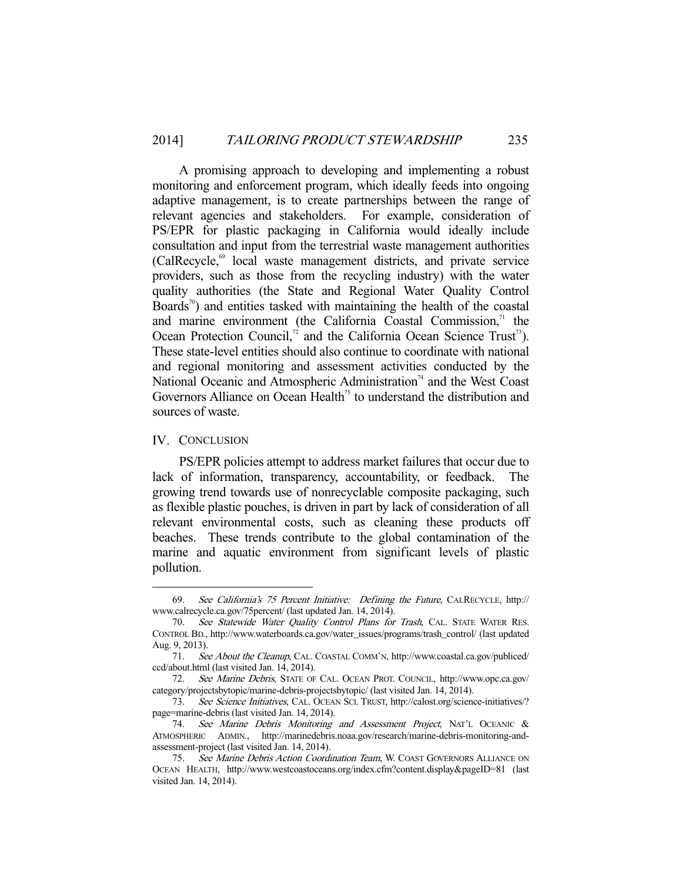A promising approach to developing and implementing a robust monitoring and enforcement program, which ideally feeds into ongoing adaptive management, is to create partnerships between the range of relevant agencies and stakeholders. For example, consideration of PS/EPR for plastic packaging in California would ideally include consultation and input from the terrestrial waste management authorities (CalRecycle,<sup>69</sup> local waste management districts, and private service providers, such as those from the recycling industry) with the water quality authorities (the State and Regional Water Quality Control Boards<sup>70</sup>) and entities tasked with maintaining the health of the coastal and marine environment (the California Coastal Commission, $71$  the Ocean Protection Council,<sup>72</sup> and the California Ocean Science Trust<sup>73</sup>). These state-level entities should also continue to coordinate with national and regional monitoring and assessment activities conducted by the National Oceanic and Atmospheric Administration<sup>74</sup> and the West Coast Governors Alliance on Ocean Health<sup>75</sup> to understand the distribution and sources of waste.

#### IV. CONCLUSION

-

 PS/EPR policies attempt to address market failures that occur due to lack of information, transparency, accountability, or feedback. The growing trend towards use of nonrecyclable composite packaging, such as flexible plastic pouches, is driven in part by lack of consideration of all relevant environmental costs, such as cleaning these products off beaches. These trends contribute to the global contamination of the marine and aquatic environment from significant levels of plastic pollution.

 <sup>69.</sup> See California's 75 Percent Initiative: Defining the Future, CALRECYCLE, http:// www.calrecycle.ca.gov/75percent/ (last updated Jan. 14, 2014).

 <sup>70.</sup> See Statewide Water Quality Control Plans for Trash, CAL. STATE WATER RES. CONTROL BD., http://www.waterboards.ca.gov/water\_issues/programs/trash\_control/ (last updated Aug. 9, 2013).

 <sup>71.</sup> See About the Cleanup, CAL. COASTAL COMM'N, http://www.coastal.ca.gov/publiced/ ccd/about.html (last visited Jan. 14, 2014).

 <sup>72.</sup> See Marine Debris, STATE OF CAL. OCEAN PROT. COUNCIL, http://www.opc.ca.gov/ category/projectsbytopic/marine-debris-projectsbytopic/ (last visited Jan. 14, 2014).

 <sup>73.</sup> See Science Initiatives, CAL. OCEAN SCI. TRUST, http://calost.org/science-initiatives/? page=marine-debris (last visited Jan. 14, 2014).

 <sup>74.</sup> See Marine Debris Monitoring and Assessment Project, NAT'L OCEANIC & ATMOSPHERIC ADMIN., http://marinedebris.noaa.gov/research/marine-debris-monitoring-andassessment-project (last visited Jan. 14, 2014).

<sup>75.</sup> See Marine Debris Action Coordination Team, W. COAST GOVERNORS ALLIANCE ON OCEAN HEALTH, http://www.westcoastoceans.org/index.cfm?content.display&pageID=81 (last visited Jan. 14, 2014).